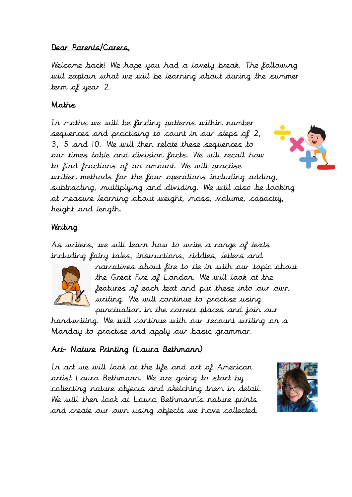### Dear Parents/Carers,

Welcome back! We hope you had a lovely break. The following will explain what we will be learning about during the summer term of year 2.

# Maths

In maths we will be finding patterns within number sequences and practising to count in our steps of 2, 3, 5 and 10. We will then relate these sequences to our times table and division facts. We will recall how to find fractions of an amount. We will practise written methods for the four operations including adding, subtracting, multiplying and dividing. We will also be looking at measure learning about weight, mass, volume, capacity, height and length.

# Writing

As writers, we will learn how to write a range of texts including fairy tales, instructions, riddles, letters and



narratives about fire to tie in with our topic about the Great Fire of London. We will look at the features of each text and put these into our own writing. We will continue to practise using punctuation in the correct places and join our

handwriting. We will continue with our recount writing on a Monday to practise and apply our basic grammar.

# Art- Nature Printing (Laura Bethmann)

In art we will look at the life and art of American artist Laura Bethmann. We are going to start by collecting nature objects and sketching them in detail. We will then look at Laura Bethmann's nature prints and create our own using objects we have collected.

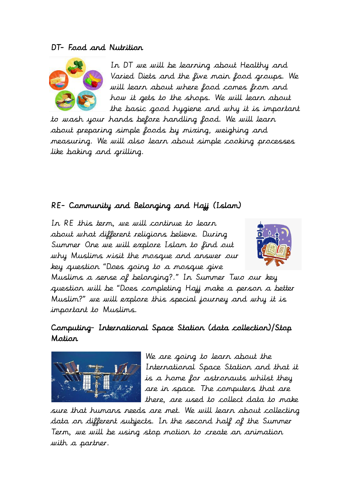#### DT- Food and Nutrition



In DT we will be learning about Healthy and Varied Diets and the five main food groups. We will learn about where food comes from and how it gets to the shops. We will learn about the basic good hygiene and why it is important

to wash your hands before handling food. We will learn about preparing simple foods by mixing, weighing and measuring. We will also learn about simple cooking processes like baking and grilling.

### RE- Community and Belonging and Hajj (Islam)

In RE this term, we will continue to learn about what different religions believe. During Summer One we will explore Islam to find out why Muslims visit the mosque and answer our key question "Does going to a mosque give



Muslims a sense of belonging?." In Summer Two our key question will be "Does completing Hajj make a person a better Muslim?" we will explore this special journey and why it is important to Muslims.

### Computing- International Space Station (data collection)/Stop Motion



We are going to learn about the International Space Station and that it is a home for astronauts whilst they are in space. The computers that are there, are used to collect data to make

sure that humans needs are met. We will learn about collecting data on different subjects. In the second half of the Summer Term, we will be using stop motion to create an animation with a partner.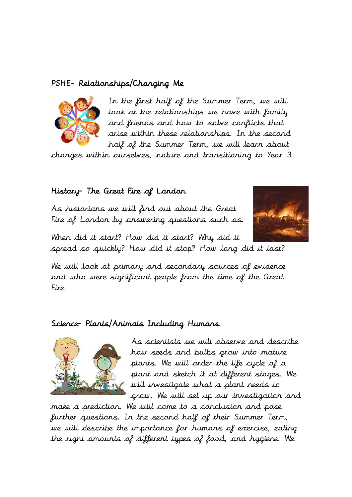### PSHE- Relationships/Changing Me



In the first half of the Summer Term, we will look at the relationships we have with family and friends and how to solve conflicts that arise within these relationships. In the second half of the Summer Term, we will learn about

changes within ourselves, nature and transitioning to Year 3.

#### History- The Great Fire of London

As historians we will find out about the Great Fire of London by answering questions such as:



When did it start? How did it start? Why did it spread so quickly? How did it stop? How long did it last?

We will look at primary and secondary sources of evidence and who were significant people from the time of the Great Fire.

#### Science- Plants/Animals Including Humans



As scientists we will observe and describe how seeds and bulbs grow into mature plants. We will order the life cycle of a plant and sketch it at different stages. We will investigate what a plant needs to grow. We will set up our investigation and

make a prediction. We will come to a conclusion and pose further questions. In the second half of their Summer Term, we will describe the importance for humans of exercise, eating the right amounts of different types of food, and hygiene. We